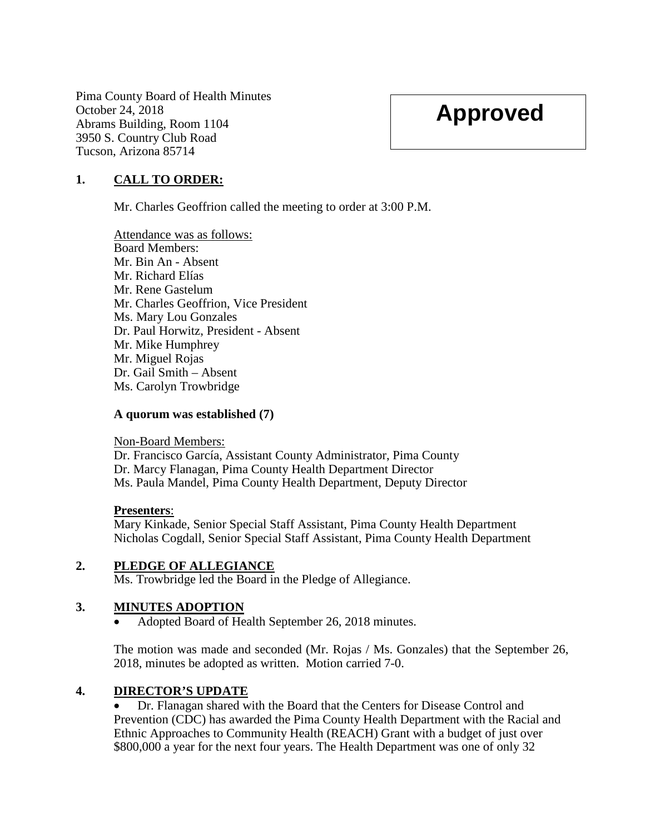Pima County Board of Health Minutes October 24, 2018 Abrams Building, Room 1104 3950 S. Country Club Road Tucson, Arizona 85714

# **Approved**

# **1. CALL TO ORDER:**

Mr. Charles Geoffrion called the meeting to order at 3:00 P.M.

Attendance was as follows: Board Members: Mr. Bin An - Absent Mr. Richard Elías Mr. Rene Gastelum Mr. Charles Geoffrion, Vice President Ms. Mary Lou Gonzales Dr. Paul Horwitz, President - Absent Mr. Mike Humphrey Mr. Miguel Rojas Dr. Gail Smith – Absent Ms. Carolyn Trowbridge

#### **A quorum was established (7)**

#### Non-Board Members:

Dr. Francisco García, Assistant County Administrator, Pima County Dr. Marcy Flanagan, Pima County Health Department Director Ms. Paula Mandel, Pima County Health Department, Deputy Director

#### **Presenters**:

Mary Kinkade, Senior Special Staff Assistant, Pima County Health Department Nicholas Cogdall, Senior Special Staff Assistant, Pima County Health Department

#### **2. PLEDGE OF ALLEGIANCE**

Ms. Trowbridge led the Board in the Pledge of Allegiance.

## **3. MINUTES ADOPTION**

• Adopted Board of Health September 26, 2018 minutes.

The motion was made and seconded (Mr. Rojas / Ms. Gonzales) that the September 26, 2018, minutes be adopted as written. Motion carried 7-0.

#### **4. DIRECTOR'S UPDATE**

• Dr. Flanagan shared with the Board that the Centers for Disease Control and Prevention (CDC) has awarded the Pima County Health Department with the Racial and Ethnic Approaches to Community Health (REACH) Grant with a budget of just over \$800,000 a year for the next four years. The Health Department was one of only 32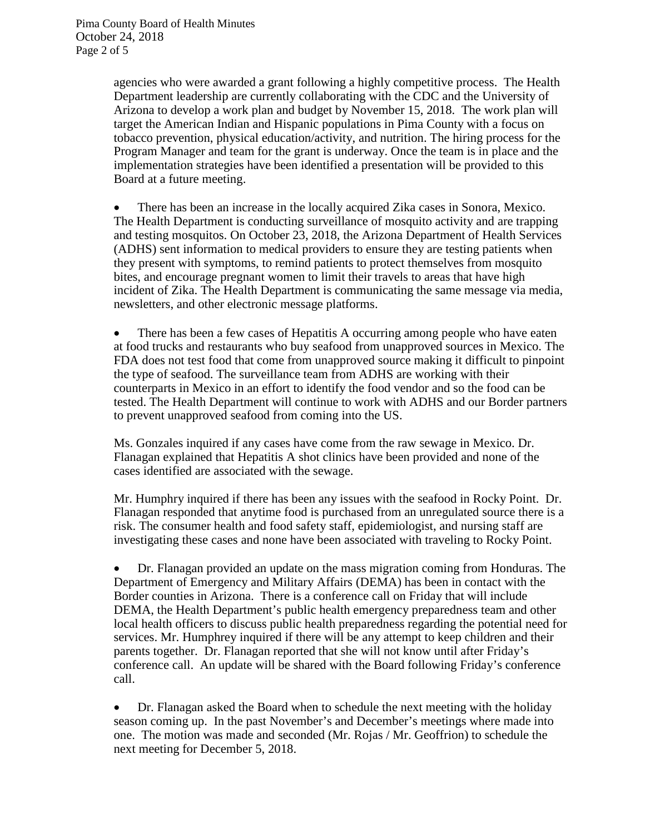agencies who were awarded a grant following a highly competitive process. The Health Department leadership are currently collaborating with the CDC and the University of Arizona to develop a work plan and budget by November 15, 2018. The work plan will target the American Indian and Hispanic populations in Pima County with a focus on tobacco prevention, physical education/activity, and nutrition. The hiring process for the Program Manager and team for the grant is underway. Once the team is in place and the implementation strategies have been identified a presentation will be provided to this Board at a future meeting.

• There has been an increase in the locally acquired Zika cases in Sonora, Mexico. The Health Department is conducting surveillance of mosquito activity and are trapping and testing mosquitos. On October 23, 2018, the Arizona Department of Health Services (ADHS) sent information to medical providers to ensure they are testing patients when they present with symptoms, to remind patients to protect themselves from mosquito bites, and encourage pregnant women to limit their travels to areas that have high incident of Zika. The Health Department is communicating the same message via media, newsletters, and other electronic message platforms.

• There has been a few cases of Hepatitis A occurring among people who have eaten at food trucks and restaurants who buy seafood from unapproved sources in Mexico. The FDA does not test food that come from unapproved source making it difficult to pinpoint the type of seafood. The surveillance team from ADHS are working with their counterparts in Mexico in an effort to identify the food vendor and so the food can be tested. The Health Department will continue to work with ADHS and our Border partners to prevent unapproved seafood from coming into the US.

Ms. Gonzales inquired if any cases have come from the raw sewage in Mexico. Dr. Flanagan explained that Hepatitis A shot clinics have been provided and none of the cases identified are associated with the sewage.

Mr. Humphry inquired if there has been any issues with the seafood in Rocky Point. Dr. Flanagan responded that anytime food is purchased from an unregulated source there is a risk. The consumer health and food safety staff, epidemiologist, and nursing staff are investigating these cases and none have been associated with traveling to Rocky Point.

• Dr. Flanagan provided an update on the mass migration coming from Honduras. The Department of Emergency and Military Affairs (DEMA) has been in contact with the Border counties in Arizona. There is a conference call on Friday that will include DEMA, the Health Department's public health emergency preparedness team and other local health officers to discuss public health preparedness regarding the potential need for services. Mr. Humphrey inquired if there will be any attempt to keep children and their parents together. Dr. Flanagan reported that she will not know until after Friday's conference call. An update will be shared with the Board following Friday's conference call.

• Dr. Flanagan asked the Board when to schedule the next meeting with the holiday season coming up. In the past November's and December's meetings where made into one. The motion was made and seconded (Mr. Rojas / Mr. Geoffrion) to schedule the next meeting for December 5, 2018.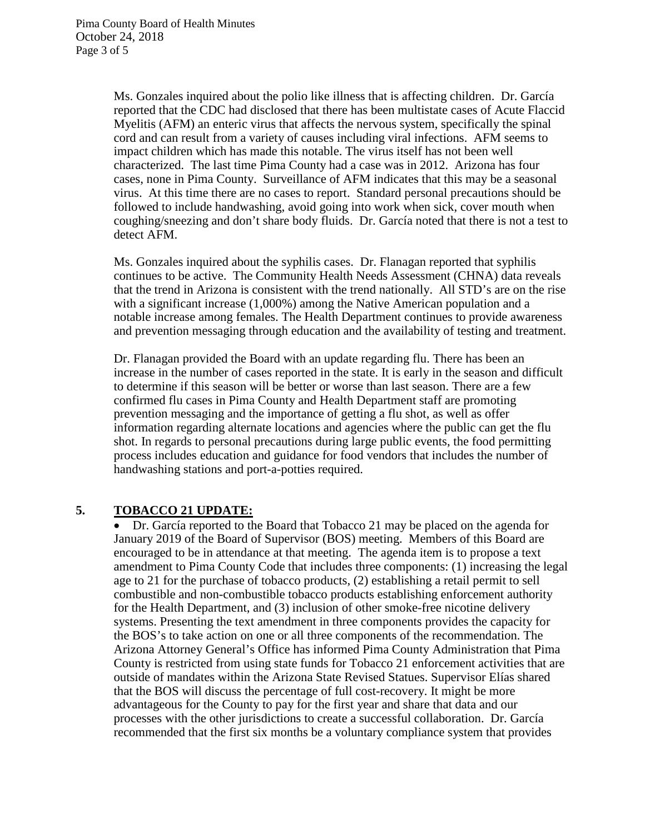Ms. Gonzales inquired about the polio like illness that is affecting children. Dr. García reported that the CDC had disclosed that there has been multistate cases of Acute Flaccid Myelitis (AFM) an enteric virus that affects the nervous system, specifically the spinal cord and can result from a variety of causes including viral infections. AFM seems to impact children which has made this notable. The virus itself has not been well characterized. The last time Pima County had a case was in 2012. Arizona has four cases, none in Pima County. Surveillance of AFM indicates that this may be a seasonal virus. At this time there are no cases to report. Standard personal precautions should be followed to include handwashing, avoid going into work when sick, cover mouth when coughing/sneezing and don't share body fluids. Dr. García noted that there is not a test to detect AFM.

Ms. Gonzales inquired about the syphilis cases. Dr. Flanagan reported that syphilis continues to be active. The Community Health Needs Assessment (CHNA) data reveals that the trend in Arizona is consistent with the trend nationally. All STD's are on the rise with a significant increase (1,000%) among the Native American population and a notable increase among females. The Health Department continues to provide awareness and prevention messaging through education and the availability of testing and treatment.

Dr. Flanagan provided the Board with an update regarding flu. There has been an increase in the number of cases reported in the state. It is early in the season and difficult to determine if this season will be better or worse than last season. There are a few confirmed flu cases in Pima County and Health Department staff are promoting prevention messaging and the importance of getting a flu shot, as well as offer information regarding alternate locations and agencies where the public can get the flu shot. In regards to personal precautions during large public events, the food permitting process includes education and guidance for food vendors that includes the number of handwashing stations and port-a-potties required.

#### **5. TOBACCO 21 UPDATE:**

• Dr. García reported to the Board that Tobacco 21 may be placed on the agenda for January 2019 of the Board of Supervisor (BOS) meeting. Members of this Board are encouraged to be in attendance at that meeting. The agenda item is to propose a text amendment to Pima County Code that includes three components: (1) increasing the legal age to 21 for the purchase of tobacco products, (2) establishing a retail permit to sell combustible and non-combustible tobacco products establishing enforcement authority for the Health Department, and (3) inclusion of other smoke-free nicotine delivery systems. Presenting the text amendment in three components provides the capacity for the BOS's to take action on one or all three components of the recommendation. The Arizona Attorney General's Office has informed Pima County Administration that Pima County is restricted from using state funds for Tobacco 21 enforcement activities that are outside of mandates within the Arizona State Revised Statues. Supervisor Elías shared that the BOS will discuss the percentage of full cost-recovery. It might be more advantageous for the County to pay for the first year and share that data and our processes with the other jurisdictions to create a successful collaboration. Dr. García recommended that the first six months be a voluntary compliance system that provides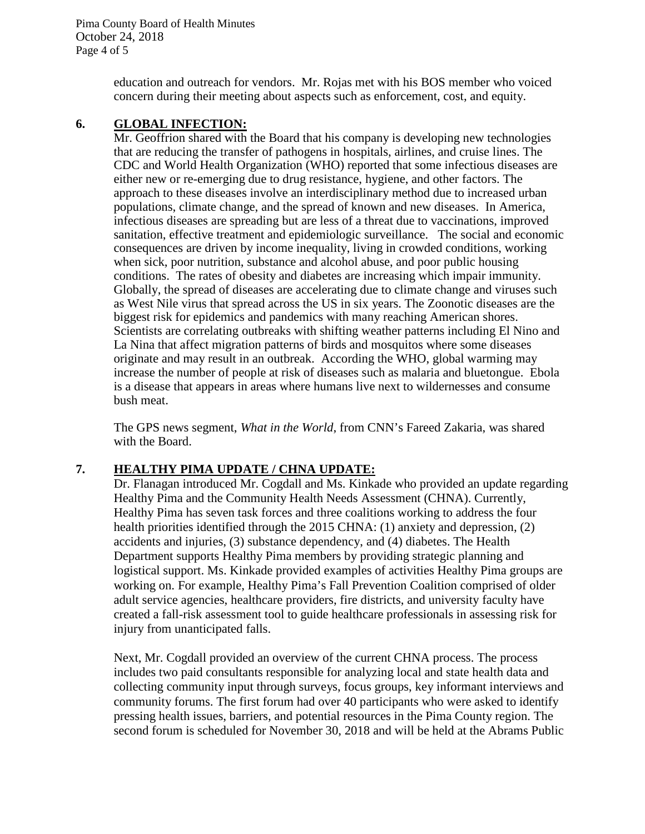Pima County Board of Health Minutes October 24, 2018 Page 4 of 5

> education and outreach for vendors. Mr. Rojas met with his BOS member who voiced concern during their meeting about aspects such as enforcement, cost, and equity.

## **6. GLOBAL INFECTION:**

Mr. Geoffrion shared with the Board that his company is developing new technologies that are reducing the transfer of pathogens in hospitals, airlines, and cruise lines. The CDC and World Health Organization (WHO) reported that some infectious diseases are either new or re-emerging due to drug resistance, hygiene, and other factors. The approach to these diseases involve an interdisciplinary method due to increased urban populations, climate change, and the spread of known and new diseases. In America, infectious diseases are spreading but are less of a threat due to vaccinations, improved sanitation, effective treatment and epidemiologic surveillance. The social and economic consequences are driven by income inequality, living in crowded conditions, working when sick, poor nutrition, substance and alcohol abuse, and poor public housing conditions. The rates of obesity and diabetes are increasing which impair immunity. Globally, the spread of diseases are accelerating due to climate change and viruses such as West Nile virus that spread across the US in six years. The Zoonotic diseases are the biggest risk for epidemics and pandemics with many reaching American shores. Scientists are correlating outbreaks with shifting weather patterns including El Nino and La Nina that affect migration patterns of birds and mosquitos where some diseases originate and may result in an outbreak. According the WHO, global warming may increase the number of people at risk of diseases such as malaria and bluetongue. Ebola is a disease that appears in areas where humans live next to wildernesses and consume bush meat.

The GPS news segment, *What in the World*, from CNN's Fareed Zakaria, was shared with the Board.

#### **7. HEALTHY PIMA UPDATE / CHNA UPDATE:**

Dr. Flanagan introduced Mr. Cogdall and Ms. Kinkade who provided an update regarding Healthy Pima and the Community Health Needs Assessment (CHNA). Currently, Healthy Pima has seven task forces and three coalitions working to address the four health priorities identified through the 2015 CHNA: (1) anxiety and depression, (2) accidents and injuries, (3) substance dependency, and (4) diabetes. The Health Department supports Healthy Pima members by providing strategic planning and logistical support. Ms. Kinkade provided examples of activities Healthy Pima groups are working on. For example, Healthy Pima's Fall Prevention Coalition comprised of older adult service agencies, healthcare providers, fire districts, and university faculty have created a fall-risk assessment tool to guide healthcare professionals in assessing risk for injury from unanticipated falls.

Next, Mr. Cogdall provided an overview of the current CHNA process. The process includes two paid consultants responsible for analyzing local and state health data and collecting community input through surveys, focus groups, key informant interviews and community forums. The first forum had over 40 participants who were asked to identify pressing health issues, barriers, and potential resources in the Pima County region. The second forum is scheduled for November 30, 2018 and will be held at the Abrams Public